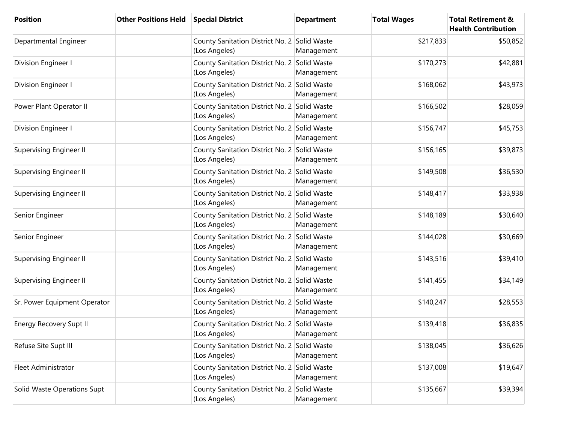| <b>Position</b>                | <b>Other Positions Held</b> | <b>Special District</b>                                       | <b>Department</b> | <b>Total Wages</b> | <b>Total Retirement &amp;</b><br><b>Health Contribution</b> |
|--------------------------------|-----------------------------|---------------------------------------------------------------|-------------------|--------------------|-------------------------------------------------------------|
| Departmental Engineer          |                             | County Sanitation District No. 2 Solid Waste<br>(Los Angeles) | Management        | \$217,833          | \$50,852                                                    |
| Division Engineer I            |                             | County Sanitation District No. 2 Solid Waste<br>(Los Angeles) | Management        | \$170,273          | \$42,881                                                    |
| Division Engineer I            |                             | County Sanitation District No. 2 Solid Waste<br>(Los Angeles) | Management        | \$168,062          | \$43,973                                                    |
| Power Plant Operator II        |                             | County Sanitation District No. 2 Solid Waste<br>(Los Angeles) | Management        | \$166,502          | \$28,059                                                    |
| Division Engineer I            |                             | County Sanitation District No. 2 Solid Waste<br>(Los Angeles) | Management        | \$156,747          | \$45,753                                                    |
| <b>Supervising Engineer II</b> |                             | County Sanitation District No. 2 Solid Waste<br>(Los Angeles) | Management        | \$156,165          | \$39,873                                                    |
| Supervising Engineer II        |                             | County Sanitation District No. 2 Solid Waste<br>(Los Angeles) | Management        | \$149,508          | \$36,530                                                    |
| Supervising Engineer II        |                             | County Sanitation District No. 2 Solid Waste<br>(Los Angeles) | Management        | \$148,417          | \$33,938                                                    |
| Senior Engineer                |                             | County Sanitation District No. 2 Solid Waste<br>(Los Angeles) | Management        | \$148,189          | \$30,640                                                    |
| Senior Engineer                |                             | County Sanitation District No. 2 Solid Waste<br>(Los Angeles) | Management        | \$144,028          | \$30,669                                                    |
| <b>Supervising Engineer II</b> |                             | County Sanitation District No. 2 Solid Waste<br>(Los Angeles) | Management        | \$143,516          | \$39,410                                                    |
| <b>Supervising Engineer II</b> |                             | County Sanitation District No. 2 Solid Waste<br>(Los Angeles) | Management        | \$141,455          | \$34,149                                                    |
| Sr. Power Equipment Operator   |                             | County Sanitation District No. 2 Solid Waste<br>(Los Angeles) | Management        | \$140,247          | \$28,553                                                    |
| <b>Energy Recovery Supt II</b> |                             | County Sanitation District No. 2 Solid Waste<br>(Los Angeles) | Management        | \$139,418          | \$36,835                                                    |
| Refuse Site Supt III           |                             | County Sanitation District No. 2 Solid Waste<br>(Los Angeles) | Management        | \$138,045          | \$36,626                                                    |
| Fleet Administrator            |                             | County Sanitation District No. 2 Solid Waste<br>(Los Angeles) | Management        | \$137,008          | \$19,647                                                    |
| Solid Waste Operations Supt    |                             | County Sanitation District No. 2 Solid Waste<br>(Los Angeles) | Management        | \$135,667          | \$39,394                                                    |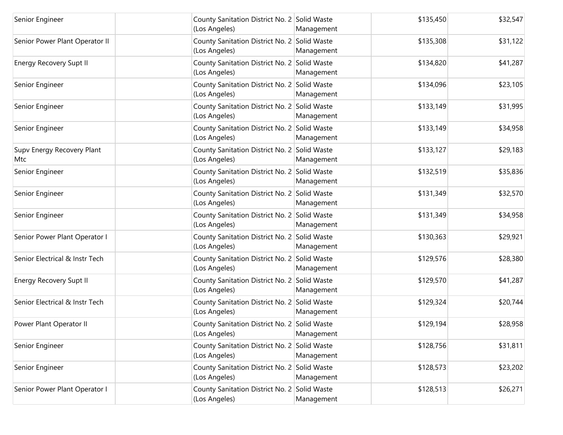| Senior Engineer                   | County Sanitation District No. 2 Solid Waste<br>(Los Angeles) | Management | \$135,450 | \$32,547 |
|-----------------------------------|---------------------------------------------------------------|------------|-----------|----------|
| Senior Power Plant Operator II    | County Sanitation District No. 2 Solid Waste<br>(Los Angeles) | Management | \$135,308 | \$31,122 |
| <b>Energy Recovery Supt II</b>    | County Sanitation District No. 2 Solid Waste<br>(Los Angeles) | Management | \$134,820 | \$41,287 |
| Senior Engineer                   | County Sanitation District No. 2 Solid Waste<br>(Los Angeles) | Management | \$134,096 | \$23,105 |
| Senior Engineer                   | County Sanitation District No. 2 Solid Waste<br>(Los Angeles) | Management | \$133,149 | \$31,995 |
| Senior Engineer                   | County Sanitation District No. 2 Solid Waste<br>(Los Angeles) | Management | \$133,149 | \$34,958 |
| Supv Energy Recovery Plant<br>Mtc | County Sanitation District No. 2 Solid Waste<br>(Los Angeles) | Management | \$133,127 | \$29,183 |
| Senior Engineer                   | County Sanitation District No. 2 Solid Waste<br>(Los Angeles) | Management | \$132,519 | \$35,836 |
| Senior Engineer                   | County Sanitation District No. 2 Solid Waste<br>(Los Angeles) | Management | \$131,349 | \$32,570 |
| Senior Engineer                   | County Sanitation District No. 2 Solid Waste<br>(Los Angeles) | Management | \$131,349 | \$34,958 |
| Senior Power Plant Operator I     | County Sanitation District No. 2 Solid Waste<br>(Los Angeles) | Management | \$130,363 | \$29,921 |
| Senior Electrical & Instr Tech    | County Sanitation District No. 2 Solid Waste<br>(Los Angeles) | Management | \$129,576 | \$28,380 |
| <b>Energy Recovery Supt II</b>    | County Sanitation District No. 2 Solid Waste<br>(Los Angeles) | Management | \$129,570 | \$41,287 |
| Senior Electrical & Instr Tech    | County Sanitation District No. 2 Solid Waste<br>(Los Angeles) | Management | \$129,324 | \$20,744 |
| Power Plant Operator II           | County Sanitation District No. 2 Solid Waste<br>(Los Angeles) | Management | \$129,194 | \$28,958 |
| Senior Engineer                   | County Sanitation District No. 2 Solid Waste<br>(Los Angeles) | Management | \$128,756 | \$31,811 |
| Senior Engineer                   | County Sanitation District No. 2 Solid Waste<br>(Los Angeles) | Management | \$128,573 | \$23,202 |
| Senior Power Plant Operator I     | County Sanitation District No. 2 Solid Waste<br>(Los Angeles) | Management | \$128,513 | \$26,271 |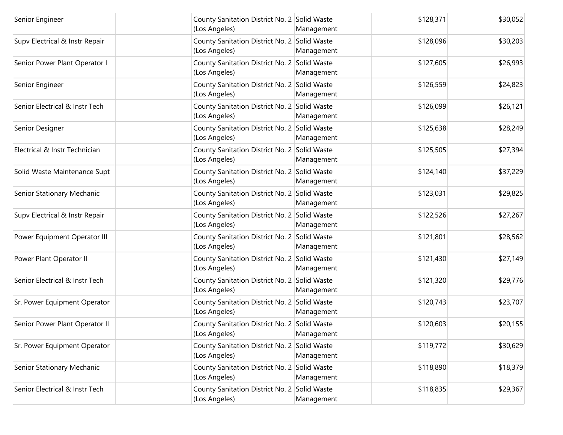| Senior Engineer                | County Sanitation District No. 2 Solid Waste<br>(Los Angeles) | Management | \$128,371 | \$30,052 |
|--------------------------------|---------------------------------------------------------------|------------|-----------|----------|
| Supv Electrical & Instr Repair | County Sanitation District No. 2 Solid Waste<br>(Los Angeles) | Management | \$128,096 | \$30,203 |
| Senior Power Plant Operator I  | County Sanitation District No. 2 Solid Waste<br>(Los Angeles) | Management | \$127,605 | \$26,993 |
| Senior Engineer                | County Sanitation District No. 2 Solid Waste<br>(Los Angeles) | Management | \$126,559 | \$24,823 |
| Senior Electrical & Instr Tech | County Sanitation District No. 2 Solid Waste<br>(Los Angeles) | Management | \$126,099 | \$26,121 |
| Senior Designer                | County Sanitation District No. 2 Solid Waste<br>(Los Angeles) | Management | \$125,638 | \$28,249 |
| Electrical & Instr Technician  | County Sanitation District No. 2 Solid Waste<br>(Los Angeles) | Management | \$125,505 | \$27,394 |
| Solid Waste Maintenance Supt   | County Sanitation District No. 2 Solid Waste<br>(Los Angeles) | Management | \$124,140 | \$37,229 |
| Senior Stationary Mechanic     | County Sanitation District No. 2 Solid Waste<br>(Los Angeles) | Management | \$123,031 | \$29,825 |
| Supv Electrical & Instr Repair | County Sanitation District No. 2 Solid Waste<br>(Los Angeles) | Management | \$122,526 | \$27,267 |
| Power Equipment Operator III   | County Sanitation District No. 2 Solid Waste<br>(Los Angeles) | Management | \$121,801 | \$28,562 |
| Power Plant Operator II        | County Sanitation District No. 2 Solid Waste<br>(Los Angeles) | Management | \$121,430 | \$27,149 |
| Senior Electrical & Instr Tech | County Sanitation District No. 2 Solid Waste<br>(Los Angeles) | Management | \$121,320 | \$29,776 |
| Sr. Power Equipment Operator   | County Sanitation District No. 2 Solid Waste<br>(Los Angeles) | Management | \$120,743 | \$23,707 |
| Senior Power Plant Operator II | County Sanitation District No. 2 Solid Waste<br>(Los Angeles) | Management | \$120,603 | \$20,155 |
| Sr. Power Equipment Operator   | County Sanitation District No. 2 Solid Waste<br>(Los Angeles) | Management | \$119,772 | \$30,629 |
| Senior Stationary Mechanic     | County Sanitation District No. 2 Solid Waste<br>(Los Angeles) | Management | \$118,890 | \$18,379 |
| Senior Electrical & Instr Tech | County Sanitation District No. 2 Solid Waste<br>(Los Angeles) | Management | \$118,835 | \$29,367 |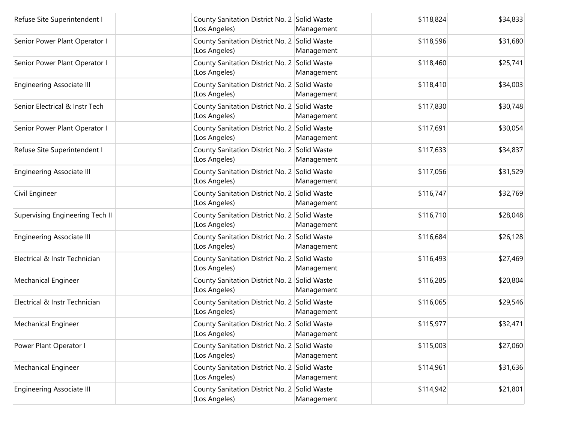| Refuse Site Superintendent I     | County Sanitation District No. 2 Solid Waste<br>(Los Angeles) | Management | \$118,824 | \$34,833 |
|----------------------------------|---------------------------------------------------------------|------------|-----------|----------|
| Senior Power Plant Operator I    | County Sanitation District No. 2 Solid Waste<br>(Los Angeles) | Management | \$118,596 | \$31,680 |
| Senior Power Plant Operator I    | County Sanitation District No. 2 Solid Waste<br>(Los Angeles) | Management | \$118,460 | \$25,741 |
| <b>Engineering Associate III</b> | County Sanitation District No. 2 Solid Waste<br>(Los Angeles) | Management | \$118,410 | \$34,003 |
| Senior Electrical & Instr Tech   | County Sanitation District No. 2 Solid Waste<br>(Los Angeles) | Management | \$117,830 | \$30,748 |
| Senior Power Plant Operator I    | County Sanitation District No. 2 Solid Waste<br>(Los Angeles) | Management | \$117,691 | \$30,054 |
| Refuse Site Superintendent I     | County Sanitation District No. 2 Solid Waste<br>(Los Angeles) | Management | \$117,633 | \$34,837 |
| <b>Engineering Associate III</b> | County Sanitation District No. 2 Solid Waste<br>(Los Angeles) | Management | \$117,056 | \$31,529 |
| Civil Engineer                   | County Sanitation District No. 2 Solid Waste<br>(Los Angeles) | Management | \$116,747 | \$32,769 |
| Supervising Engineering Tech II  | County Sanitation District No. 2 Solid Waste<br>(Los Angeles) | Management | \$116,710 | \$28,048 |
| <b>Engineering Associate III</b> | County Sanitation District No. 2 Solid Waste<br>(Los Angeles) | Management | \$116,684 | \$26,128 |
| Electrical & Instr Technician    | County Sanitation District No. 2 Solid Waste<br>(Los Angeles) | Management | \$116,493 | \$27,469 |
| Mechanical Engineer              | County Sanitation District No. 2 Solid Waste<br>(Los Angeles) | Management | \$116,285 | \$20,804 |
| Electrical & Instr Technician    | County Sanitation District No. 2 Solid Waste<br>(Los Angeles) | Management | \$116,065 | \$29,546 |
| <b>Mechanical Engineer</b>       | County Sanitation District No. 2 Solid Waste<br>(Los Angeles) | Management | \$115,977 | \$32,471 |
| Power Plant Operator I           | County Sanitation District No. 2 Solid Waste<br>(Los Angeles) | Management | \$115,003 | \$27,060 |
| Mechanical Engineer              | County Sanitation District No. 2 Solid Waste<br>(Los Angeles) | Management | \$114,961 | \$31,636 |
| <b>Engineering Associate III</b> | County Sanitation District No. 2 Solid Waste<br>(Los Angeles) | Management | \$114,942 | \$21,801 |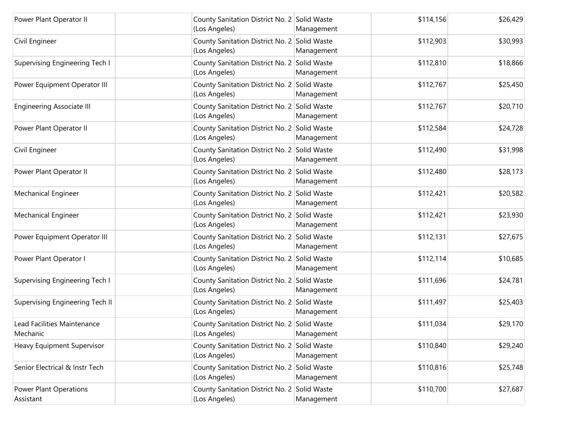| Power Plant Operator II                    | County Sanitation District No. 2 Solid Waste<br>(Los Angeles) | Management | \$114,156 | \$26,429 |
|--------------------------------------------|---------------------------------------------------------------|------------|-----------|----------|
| Civil Engineer                             | County Sanitation District No. 2 Solid Waste<br>(Los Angeles) | Management | \$112,903 | \$30,993 |
| Supervising Engineering Tech I             | County Sanitation District No. 2 Solid Waste<br>(Los Angeles) | Management | \$112,810 | \$18,866 |
| Power Equipment Operator III               | County Sanitation District No. 2 Solid Waste<br>(Los Angeles) | Management | \$112,767 | \$25,450 |
| <b>Engineering Associate III</b>           | County Sanitation District No. 2 Solid Waste<br>(Los Angeles) | Management | \$112,767 | \$20,710 |
| Power Plant Operator II                    | County Sanitation District No. 2 Solid Waste<br>(Los Angeles) | Management | \$112,584 | \$24,728 |
| Civil Engineer                             | County Sanitation District No. 2 Solid Waste<br>(Los Angeles) | Management | \$112,490 | \$31,998 |
| Power Plant Operator II                    | County Sanitation District No. 2 Solid Waste<br>(Los Angeles) | Management | \$112,480 | \$28,173 |
| Mechanical Engineer                        | County Sanitation District No. 2 Solid Waste<br>(Los Angeles) | Management | \$112,421 | \$20,582 |
| Mechanical Engineer                        | County Sanitation District No. 2 Solid Waste<br>(Los Angeles) | Management | \$112,421 | \$23,930 |
| Power Equipment Operator III               | County Sanitation District No. 2 Solid Waste<br>(Los Angeles) | Management | \$112,131 | \$27,675 |
| Power Plant Operator I                     | County Sanitation District No. 2 Solid Waste<br>(Los Angeles) | Management | \$112,114 | \$10,685 |
| Supervising Engineering Tech I             | County Sanitation District No. 2 Solid Waste<br>(Los Angeles) | Management | \$111,696 | \$24,781 |
| Supervising Engineering Tech II            | County Sanitation District No. 2 Solid Waste<br>(Los Angeles) | Management | \$111,497 | \$25,403 |
| Lead Facilities Maintenance<br>Mechanic    | County Sanitation District No. 2 Solid Waste<br>(Los Angeles) | Management | \$111,034 | \$29,170 |
| Heavy Equipment Supervisor                 | County Sanitation District No. 2 Solid Waste<br>(Los Angeles) | Management | \$110,840 | \$29,240 |
| Senior Electrical & Instr Tech             | County Sanitation District No. 2 Solid Waste<br>(Los Angeles) | Management | \$110,816 | \$25,748 |
| <b>Power Plant Operations</b><br>Assistant | County Sanitation District No. 2 Solid Waste<br>(Los Angeles) | Management | \$110,700 | \$27,687 |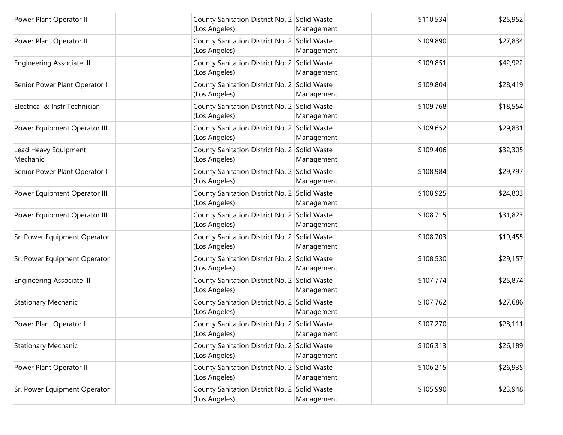| Power Plant Operator II          | County Sanitation District No. 2 Solid Waste<br>(Los Angeles) | Management | \$110,534 | \$25,952 |
|----------------------------------|---------------------------------------------------------------|------------|-----------|----------|
| Power Plant Operator II          | County Sanitation District No. 2 Solid Waste<br>(Los Angeles) | Management | \$109,890 | \$27,834 |
| <b>Engineering Associate III</b> | County Sanitation District No. 2 Solid Waste<br>(Los Angeles) | Management | \$109,851 | \$42,922 |
| Senior Power Plant Operator I    | County Sanitation District No. 2 Solid Waste<br>(Los Angeles) | Management | \$109,804 | \$28,419 |
| Electrical & Instr Technician    | County Sanitation District No. 2 Solid Waste<br>(Los Angeles) | Management | \$109,768 | \$18,554 |
| Power Equipment Operator III     | County Sanitation District No. 2 Solid Waste<br>(Los Angeles) | Management | \$109,652 | \$29,831 |
| Lead Heavy Equipment<br>Mechanic | County Sanitation District No. 2 Solid Waste<br>(Los Angeles) | Management | \$109,406 | \$32,305 |
| Senior Power Plant Operator II   | County Sanitation District No. 2 Solid Waste<br>(Los Angeles) | Management | \$108,984 | \$29,797 |
| Power Equipment Operator III     | County Sanitation District No. 2 Solid Waste<br>(Los Angeles) | Management | \$108,925 | \$24,803 |
| Power Equipment Operator III     | County Sanitation District No. 2 Solid Waste<br>(Los Angeles) | Management | \$108,715 | \$31,823 |
| Sr. Power Equipment Operator     | County Sanitation District No. 2 Solid Waste<br>(Los Angeles) | Management | \$108,703 | \$19,455 |
| Sr. Power Equipment Operator     | County Sanitation District No. 2 Solid Waste<br>(Los Angeles) | Management | \$108,530 | \$29,157 |
| <b>Engineering Associate III</b> | County Sanitation District No. 2 Solid Waste<br>(Los Angeles) | Management | \$107,774 | \$25,874 |
| <b>Stationary Mechanic</b>       | County Sanitation District No. 2 Solid Waste<br>(Los Angeles) | Management | \$107,762 | \$27,686 |
| Power Plant Operator I           | County Sanitation District No. 2 Solid Waste<br>(Los Angeles) | Management | \$107,270 | \$28,111 |
| <b>Stationary Mechanic</b>       | County Sanitation District No. 2 Solid Waste<br>(Los Angeles) | Management | \$106,313 | \$26,189 |
| Power Plant Operator II          | County Sanitation District No. 2 Solid Waste<br>(Los Angeles) | Management | \$106,215 | \$26,935 |
| Sr. Power Equipment Operator     | County Sanitation District No. 2 Solid Waste<br>(Los Angeles) | Management | \$105,990 | \$23,948 |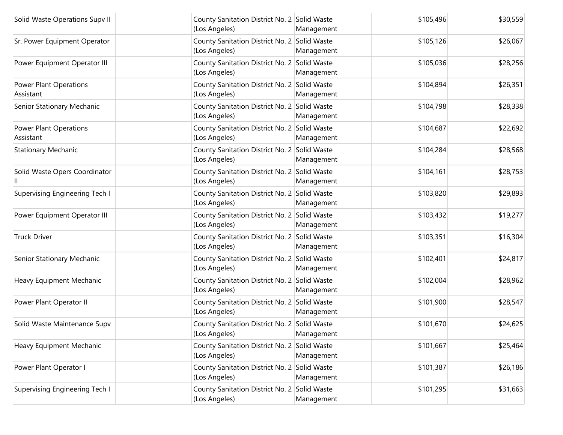| Solid Waste Operations Supv II             | County Sanitation District No. 2 Solid Waste<br>(Los Angeles) | Management | \$105,496 | \$30,559 |
|--------------------------------------------|---------------------------------------------------------------|------------|-----------|----------|
| Sr. Power Equipment Operator               | County Sanitation District No. 2 Solid Waste<br>(Los Angeles) | Management | \$105,126 | \$26,067 |
| Power Equipment Operator III               | County Sanitation District No. 2 Solid Waste<br>(Los Angeles) | Management | \$105,036 | \$28,256 |
| <b>Power Plant Operations</b><br>Assistant | County Sanitation District No. 2 Solid Waste<br>(Los Angeles) | Management | \$104,894 | \$26,351 |
| Senior Stationary Mechanic                 | County Sanitation District No. 2 Solid Waste<br>(Los Angeles) | Management | \$104,798 | \$28,338 |
| <b>Power Plant Operations</b><br>Assistant | County Sanitation District No. 2 Solid Waste<br>(Los Angeles) | Management | \$104,687 | \$22,692 |
| <b>Stationary Mechanic</b>                 | County Sanitation District No. 2 Solid Waste<br>(Los Angeles) | Management | \$104,284 | \$28,568 |
| Solid Waste Opers Coordinator              | County Sanitation District No. 2 Solid Waste<br>(Los Angeles) | Management | \$104,161 | \$28,753 |
| Supervising Engineering Tech I             | County Sanitation District No. 2 Solid Waste<br>(Los Angeles) | Management | \$103,820 | \$29,893 |
| Power Equipment Operator III               | County Sanitation District No. 2 Solid Waste<br>(Los Angeles) | Management | \$103,432 | \$19,277 |
| <b>Truck Driver</b>                        | County Sanitation District No. 2 Solid Waste<br>(Los Angeles) | Management | \$103,351 | \$16,304 |
| Senior Stationary Mechanic                 | County Sanitation District No. 2 Solid Waste<br>(Los Angeles) | Management | \$102,401 | \$24,817 |
| Heavy Equipment Mechanic                   | County Sanitation District No. 2 Solid Waste<br>(Los Angeles) | Management | \$102,004 | \$28,962 |
| Power Plant Operator II                    | County Sanitation District No. 2 Solid Waste<br>(Los Angeles) | Management | \$101,900 | \$28,547 |
| Solid Waste Maintenance Supv               | County Sanitation District No. 2 Solid Waste<br>(Los Angeles) | Management | \$101,670 | \$24,625 |
| Heavy Equipment Mechanic                   | County Sanitation District No. 2 Solid Waste<br>(Los Angeles) | Management | \$101,667 | \$25,464 |
| Power Plant Operator I                     | County Sanitation District No. 2 Solid Waste<br>(Los Angeles) | Management | \$101,387 | \$26,186 |
| Supervising Engineering Tech I             | County Sanitation District No. 2 Solid Waste<br>(Los Angeles) | Management | \$101,295 | \$31,663 |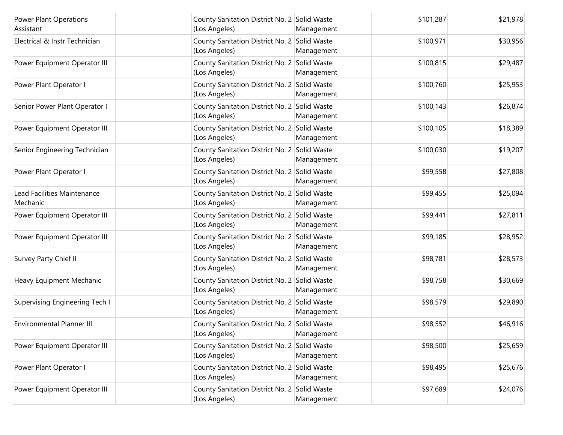| <b>Power Plant Operations</b><br>Assistant | County Sanitation District No. 2 Solid Waste<br>(Los Angeles) | Management | \$101,287 | \$21,978 |
|--------------------------------------------|---------------------------------------------------------------|------------|-----------|----------|
| Electrical & Instr Technician              | County Sanitation District No. 2 Solid Waste<br>(Los Angeles) | Management | \$100,971 | \$30,956 |
| Power Equipment Operator III               | County Sanitation District No. 2 Solid Waste<br>(Los Angeles) | Management | \$100,815 | \$29,487 |
| Power Plant Operator I                     | County Sanitation District No. 2 Solid Waste<br>(Los Angeles) | Management | \$100,760 | \$25,953 |
| Senior Power Plant Operator I              | County Sanitation District No. 2 Solid Waste<br>(Los Angeles) | Management | \$100,143 | \$26,874 |
| Power Equipment Operator III               | County Sanitation District No. 2 Solid Waste<br>(Los Angeles) | Management | \$100,105 | \$18,389 |
| Senior Engineering Technician              | County Sanitation District No. 2 Solid Waste<br>(Los Angeles) | Management | \$100,030 | \$19,207 |
| Power Plant Operator I                     | County Sanitation District No. 2 Solid Waste<br>(Los Angeles) | Management | \$99,558  | \$27,808 |
| Lead Facilities Maintenance<br>Mechanic    | County Sanitation District No. 2 Solid Waste<br>(Los Angeles) | Management | \$99,455  | \$25,094 |
| Power Equipment Operator III               | County Sanitation District No. 2 Solid Waste<br>(Los Angeles) | Management | \$99,441  | \$27,811 |
| Power Equipment Operator III               | County Sanitation District No. 2 Solid Waste<br>(Los Angeles) | Management | \$99,185  | \$28,952 |
| Survey Party Chief II                      | County Sanitation District No. 2 Solid Waste<br>(Los Angeles) | Management | \$98,781  | \$28,573 |
| Heavy Equipment Mechanic                   | County Sanitation District No. 2 Solid Waste<br>(Los Angeles) | Management | \$98,758  | \$30,669 |
| Supervising Engineering Tech I             | County Sanitation District No. 2 Solid Waste<br>(Los Angeles) | Management | \$98,579  | \$29,890 |
| <b>Environmental Planner III</b>           | County Sanitation District No. 2 Solid Waste<br>(Los Angeles) | Management | \$98,552  | \$46,916 |
| Power Equipment Operator III               | County Sanitation District No. 2 Solid Waste<br>(Los Angeles) | Management | \$98,500  | \$25,659 |
| Power Plant Operator I                     | County Sanitation District No. 2 Solid Waste<br>(Los Angeles) | Management | \$98,495  | \$25,676 |
| Power Equipment Operator III               | County Sanitation District No. 2 Solid Waste<br>(Los Angeles) | Management | \$97,689  | \$24,076 |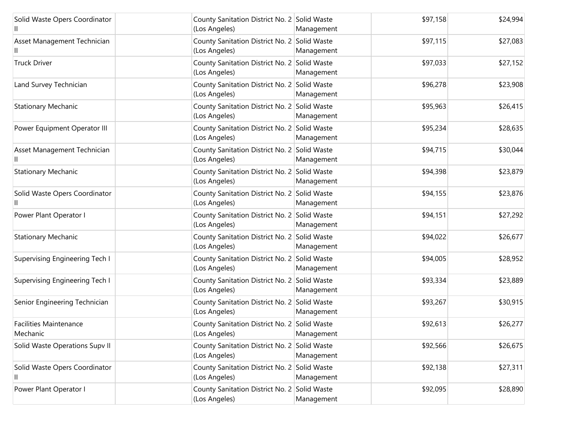| Solid Waste Opers Coordinator             | County Sanitation District No. 2 Solid Waste<br>(Los Angeles) | Management | \$97,158 | \$24,994 |
|-------------------------------------------|---------------------------------------------------------------|------------|----------|----------|
| Asset Management Technician               | County Sanitation District No. 2 Solid Waste<br>(Los Angeles) | Management | \$97,115 | \$27,083 |
| <b>Truck Driver</b>                       | County Sanitation District No. 2 Solid Waste<br>(Los Angeles) | Management | \$97,033 | \$27,152 |
| Land Survey Technician                    | County Sanitation District No. 2 Solid Waste<br>(Los Angeles) | Management | \$96,278 | \$23,908 |
| <b>Stationary Mechanic</b>                | County Sanitation District No. 2 Solid Waste<br>(Los Angeles) | Management | \$95,963 | \$26,415 |
| Power Equipment Operator III              | County Sanitation District No. 2 Solid Waste<br>(Los Angeles) | Management | \$95,234 | \$28,635 |
| Asset Management Technician               | County Sanitation District No. 2 Solid Waste<br>(Los Angeles) | Management | \$94,715 | \$30,044 |
| <b>Stationary Mechanic</b>                | County Sanitation District No. 2 Solid Waste<br>(Los Angeles) | Management | \$94,398 | \$23,879 |
| Solid Waste Opers Coordinator             | County Sanitation District No. 2 Solid Waste<br>(Los Angeles) | Management | \$94,155 | \$23,876 |
| Power Plant Operator I                    | County Sanitation District No. 2 Solid Waste<br>(Los Angeles) | Management | \$94,151 | \$27,292 |
| <b>Stationary Mechanic</b>                | County Sanitation District No. 2 Solid Waste<br>(Los Angeles) | Management | \$94,022 | \$26,677 |
| Supervising Engineering Tech I            | County Sanitation District No. 2 Solid Waste<br>(Los Angeles) | Management | \$94,005 | \$28,952 |
| Supervising Engineering Tech I            | County Sanitation District No. 2 Solid Waste<br>(Los Angeles) | Management | \$93,334 | \$23,889 |
| Senior Engineering Technician             | County Sanitation District No. 2 Solid Waste<br>(Los Angeles) | Management | \$93,267 | \$30,915 |
| <b>Facilities Maintenance</b><br>Mechanic | County Sanitation District No. 2 Solid Waste<br>(Los Angeles) | Management | \$92,613 | \$26,277 |
| Solid Waste Operations Supv II            | County Sanitation District No. 2 Solid Waste<br>(Los Angeles) | Management | \$92,566 | \$26,675 |
| Solid Waste Opers Coordinator<br>Ш        | County Sanitation District No. 2 Solid Waste<br>(Los Angeles) | Management | \$92,138 | \$27,311 |
| Power Plant Operator I                    | County Sanitation District No. 2 Solid Waste<br>(Los Angeles) | Management | \$92,095 | \$28,890 |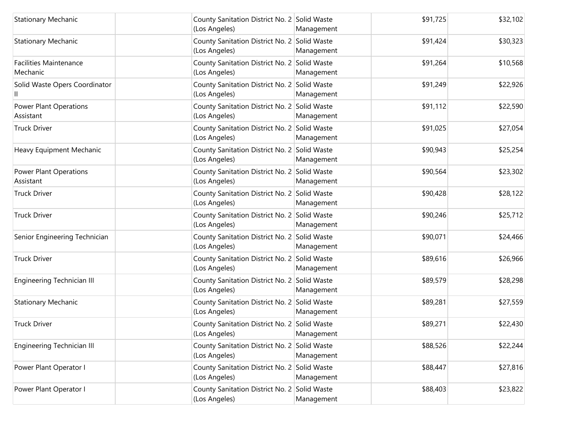| <b>Stationary Mechanic</b>                 | County Sanitation District No. 2 Solid Waste<br>(Los Angeles) | Management | \$91,725 | \$32,102 |
|--------------------------------------------|---------------------------------------------------------------|------------|----------|----------|
| <b>Stationary Mechanic</b>                 | County Sanitation District No. 2 Solid Waste<br>(Los Angeles) | Management | \$91,424 | \$30,323 |
| <b>Facilities Maintenance</b><br>Mechanic  | County Sanitation District No. 2 Solid Waste<br>(Los Angeles) | Management | \$91,264 | \$10,568 |
| Solid Waste Opers Coordinator              | County Sanitation District No. 2 Solid Waste<br>(Los Angeles) | Management | \$91,249 | \$22,926 |
| <b>Power Plant Operations</b><br>Assistant | County Sanitation District No. 2 Solid Waste<br>(Los Angeles) | Management | \$91,112 | \$22,590 |
| <b>Truck Driver</b>                        | County Sanitation District No. 2 Solid Waste<br>(Los Angeles) | Management | \$91,025 | \$27,054 |
| Heavy Equipment Mechanic                   | County Sanitation District No. 2 Solid Waste<br>(Los Angeles) | Management | \$90,943 | \$25,254 |
| <b>Power Plant Operations</b><br>Assistant | County Sanitation District No. 2 Solid Waste<br>(Los Angeles) | Management | \$90,564 | \$23,302 |
| <b>Truck Driver</b>                        | County Sanitation District No. 2 Solid Waste<br>(Los Angeles) | Management | \$90,428 | \$28,122 |
| <b>Truck Driver</b>                        | County Sanitation District No. 2 Solid Waste<br>(Los Angeles) | Management | \$90,246 | \$25,712 |
| Senior Engineering Technician              | County Sanitation District No. 2 Solid Waste<br>(Los Angeles) | Management | \$90,071 | \$24,466 |
| <b>Truck Driver</b>                        | County Sanitation District No. 2 Solid Waste<br>(Los Angeles) | Management | \$89,616 | \$26,966 |
| Engineering Technician III                 | County Sanitation District No. 2 Solid Waste<br>(Los Angeles) | Management | \$89,579 | \$28,298 |
| <b>Stationary Mechanic</b>                 | County Sanitation District No. 2 Solid Waste<br>(Los Angeles) | Management | \$89,281 | \$27,559 |
| <b>Truck Driver</b>                        | County Sanitation District No. 2 Solid Waste<br>(Los Angeles) | Management | \$89,271 | \$22,430 |
| Engineering Technician III                 | County Sanitation District No. 2 Solid Waste<br>(Los Angeles) | Management | \$88,526 | \$22,244 |
| Power Plant Operator I                     | County Sanitation District No. 2 Solid Waste<br>(Los Angeles) | Management | \$88,447 | \$27,816 |
| Power Plant Operator I                     | County Sanitation District No. 2 Solid Waste<br>(Los Angeles) | Management | \$88,403 | \$23,822 |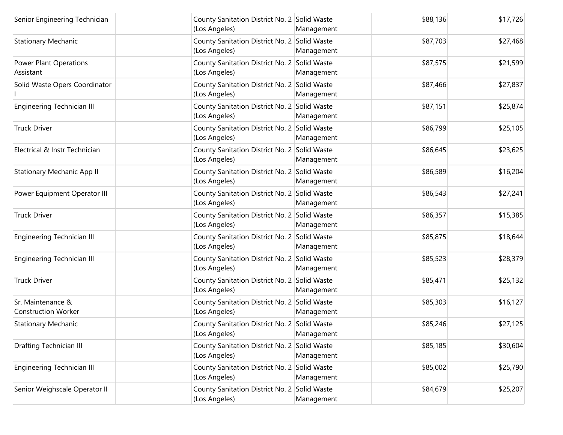| Senior Engineering Technician                   | County Sanitation District No. 2 Solid Waste<br>(Los Angeles) | Management | \$88,136 | \$17,726 |
|-------------------------------------------------|---------------------------------------------------------------|------------|----------|----------|
| <b>Stationary Mechanic</b>                      | County Sanitation District No. 2 Solid Waste<br>(Los Angeles) | Management | \$87,703 | \$27,468 |
| <b>Power Plant Operations</b><br>Assistant      | County Sanitation District No. 2 Solid Waste<br>(Los Angeles) | Management | \$87,575 | \$21,599 |
| Solid Waste Opers Coordinator                   | County Sanitation District No. 2 Solid Waste<br>(Los Angeles) | Management | \$87,466 | \$27,837 |
| <b>Engineering Technician III</b>               | County Sanitation District No. 2 Solid Waste<br>(Los Angeles) | Management | \$87,151 | \$25,874 |
| <b>Truck Driver</b>                             | County Sanitation District No. 2 Solid Waste<br>(Los Angeles) | Management | \$86,799 | \$25,105 |
| Electrical & Instr Technician                   | County Sanitation District No. 2 Solid Waste<br>(Los Angeles) | Management | \$86,645 | \$23,625 |
| <b>Stationary Mechanic App II</b>               | County Sanitation District No. 2 Solid Waste<br>(Los Angeles) | Management | \$86,589 | \$16,204 |
| Power Equipment Operator III                    | County Sanitation District No. 2 Solid Waste<br>(Los Angeles) | Management | \$86,543 | \$27,241 |
| <b>Truck Driver</b>                             | County Sanitation District No. 2 Solid Waste<br>(Los Angeles) | Management | \$86,357 | \$15,385 |
| Engineering Technician III                      | County Sanitation District No. 2 Solid Waste<br>(Los Angeles) | Management | \$85,875 | \$18,644 |
| Engineering Technician III                      | County Sanitation District No. 2 Solid Waste<br>(Los Angeles) | Management | \$85,523 | \$28,379 |
| <b>Truck Driver</b>                             | County Sanitation District No. 2 Solid Waste<br>(Los Angeles) | Management | \$85,471 | \$25,132 |
| Sr. Maintenance &<br><b>Construction Worker</b> | County Sanitation District No. 2 Solid Waste<br>(Los Angeles) | Management | \$85,303 | \$16,127 |
| <b>Stationary Mechanic</b>                      | County Sanitation District No. 2 Solid Waste<br>(Los Angeles) | Management | \$85,246 | \$27,125 |
| Drafting Technician III                         | County Sanitation District No. 2 Solid Waste<br>(Los Angeles) | Management | \$85,185 | \$30,604 |
| <b>Engineering Technician III</b>               | County Sanitation District No. 2 Solid Waste<br>(Los Angeles) | Management | \$85,002 | \$25,790 |
| Senior Weighscale Operator II                   | County Sanitation District No. 2 Solid Waste<br>(Los Angeles) | Management | \$84,679 | \$25,207 |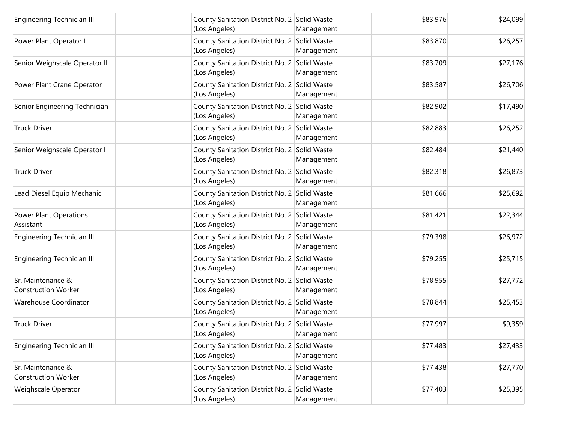| <b>Engineering Technician III</b>               | County Sanitation District No. 2 Solid Waste<br>(Los Angeles) | Management | \$83,976 | \$24,099 |
|-------------------------------------------------|---------------------------------------------------------------|------------|----------|----------|
| Power Plant Operator I                          | County Sanitation District No. 2 Solid Waste<br>(Los Angeles) | Management | \$83,870 | \$26,257 |
| Senior Weighscale Operator II                   | County Sanitation District No. 2 Solid Waste<br>(Los Angeles) | Management | \$83,709 | \$27,176 |
| Power Plant Crane Operator                      | County Sanitation District No. 2 Solid Waste<br>(Los Angeles) | Management | \$83,587 | \$26,706 |
| Senior Engineering Technician                   | County Sanitation District No. 2 Solid Waste<br>(Los Angeles) | Management | \$82,902 | \$17,490 |
| <b>Truck Driver</b>                             | County Sanitation District No. 2 Solid Waste<br>(Los Angeles) | Management | \$82,883 | \$26,252 |
| Senior Weighscale Operator I                    | County Sanitation District No. 2 Solid Waste<br>(Los Angeles) | Management | \$82,484 | \$21,440 |
| <b>Truck Driver</b>                             | County Sanitation District No. 2 Solid Waste<br>(Los Angeles) | Management | \$82,318 | \$26,873 |
| Lead Diesel Equip Mechanic                      | County Sanitation District No. 2 Solid Waste<br>(Los Angeles) | Management | \$81,666 | \$25,692 |
| <b>Power Plant Operations</b><br>Assistant      | County Sanitation District No. 2 Solid Waste<br>(Los Angeles) | Management | \$81,421 | \$22,344 |
| <b>Engineering Technician III</b>               | County Sanitation District No. 2 Solid Waste<br>(Los Angeles) | Management | \$79,398 | \$26,972 |
| <b>Engineering Technician III</b>               | County Sanitation District No. 2 Solid Waste<br>(Los Angeles) | Management | \$79,255 | \$25,715 |
| Sr. Maintenance &<br><b>Construction Worker</b> | County Sanitation District No. 2 Solid Waste<br>(Los Angeles) | Management | \$78,955 | \$27,772 |
| Warehouse Coordinator                           | County Sanitation District No. 2 Solid Waste<br>(Los Angeles) | Management | \$78,844 | \$25,453 |
| <b>Truck Driver</b>                             | County Sanitation District No. 2 Solid Waste<br>(Los Angeles) | Management | \$77,997 | \$9,359  |
| Engineering Technician III                      | County Sanitation District No. 2 Solid Waste<br>(Los Angeles) | Management | \$77,483 | \$27,433 |
| Sr. Maintenance &<br><b>Construction Worker</b> | County Sanitation District No. 2 Solid Waste<br>(Los Angeles) | Management | \$77,438 | \$27,770 |
| Weighscale Operator                             | County Sanitation District No. 2 Solid Waste<br>(Los Angeles) | Management | \$77,403 | \$25,395 |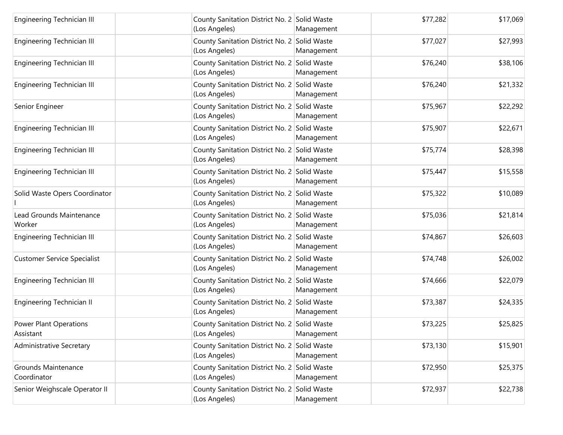| <b>Engineering Technician III</b>          | County Sanitation District No. 2 Solid Waste<br>(Los Angeles) | Management | \$77,282 | \$17,069 |
|--------------------------------------------|---------------------------------------------------------------|------------|----------|----------|
| Engineering Technician III                 | County Sanitation District No. 2 Solid Waste<br>(Los Angeles) | Management | \$77,027 | \$27,993 |
| <b>Engineering Technician III</b>          | County Sanitation District No. 2 Solid Waste<br>(Los Angeles) | Management | \$76,240 | \$38,106 |
| <b>Engineering Technician III</b>          | County Sanitation District No. 2 Solid Waste<br>(Los Angeles) | Management | \$76,240 | \$21,332 |
| Senior Engineer                            | County Sanitation District No. 2 Solid Waste<br>(Los Angeles) | Management | \$75,967 | \$22,292 |
| Engineering Technician III                 | County Sanitation District No. 2 Solid Waste<br>(Los Angeles) | Management | \$75,907 | \$22,671 |
| Engineering Technician III                 | County Sanitation District No. 2 Solid Waste<br>(Los Angeles) | Management | \$75,774 | \$28,398 |
| <b>Engineering Technician III</b>          | County Sanitation District No. 2 Solid Waste<br>(Los Angeles) | Management | \$75,447 | \$15,558 |
| Solid Waste Opers Coordinator              | County Sanitation District No. 2 Solid Waste<br>(Los Angeles) | Management | \$75,322 | \$10,089 |
| Lead Grounds Maintenance<br>Worker         | County Sanitation District No. 2 Solid Waste<br>(Los Angeles) | Management | \$75,036 | \$21,814 |
| Engineering Technician III                 | County Sanitation District No. 2 Solid Waste<br>(Los Angeles) | Management | \$74,867 | \$26,603 |
| <b>Customer Service Specialist</b>         | County Sanitation District No. 2 Solid Waste<br>(Los Angeles) | Management | \$74,748 | \$26,002 |
| <b>Engineering Technician III</b>          | County Sanitation District No. 2 Solid Waste<br>(Los Angeles) | Management | \$74,666 | \$22,079 |
| <b>Engineering Technician II</b>           | County Sanitation District No. 2 Solid Waste<br>(Los Angeles) | Management | \$73,387 | \$24,335 |
| <b>Power Plant Operations</b><br>Assistant | County Sanitation District No. 2 Solid Waste<br>(Los Angeles) | Management | \$73,225 | \$25,825 |
| Administrative Secretary                   | County Sanitation District No. 2 Solid Waste<br>(Los Angeles) | Management | \$73,130 | \$15,901 |
| <b>Grounds Maintenance</b><br>Coordinator  | County Sanitation District No. 2 Solid Waste<br>(Los Angeles) | Management | \$72,950 | \$25,375 |
| Senior Weighscale Operator II              | County Sanitation District No. 2 Solid Waste<br>(Los Angeles) | Management | \$72,937 | \$22,738 |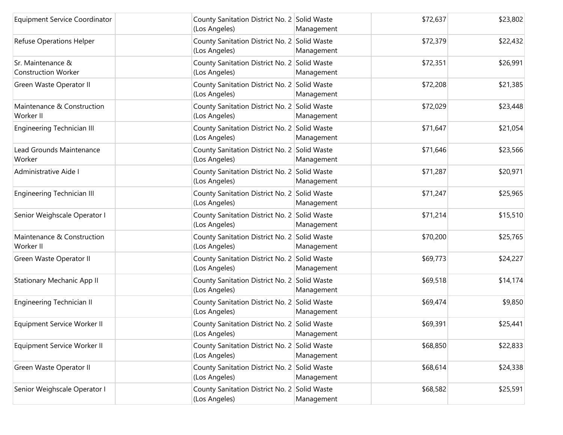| <b>Equipment Service Coordinator</b>            | County Sanitation District No. 2 Solid Waste<br>(Los Angeles) | Management | \$72,637 | \$23,802 |
|-------------------------------------------------|---------------------------------------------------------------|------------|----------|----------|
| Refuse Operations Helper                        | County Sanitation District No. 2 Solid Waste<br>(Los Angeles) | Management | \$72,379 | \$22,432 |
| Sr. Maintenance &<br><b>Construction Worker</b> | County Sanitation District No. 2 Solid Waste<br>(Los Angeles) | Management | \$72,351 | \$26,991 |
| Green Waste Operator II                         | County Sanitation District No. 2 Solid Waste<br>(Los Angeles) | Management | \$72,208 | \$21,385 |
| Maintenance & Construction<br>Worker II         | County Sanitation District No. 2 Solid Waste<br>(Los Angeles) | Management | \$72,029 | \$23,448 |
| Engineering Technician III                      | County Sanitation District No. 2 Solid Waste<br>(Los Angeles) | Management | \$71,647 | \$21,054 |
| Lead Grounds Maintenance<br>Worker              | County Sanitation District No. 2 Solid Waste<br>(Los Angeles) | Management | \$71,646 | \$23,566 |
| Administrative Aide I                           | County Sanitation District No. 2 Solid Waste<br>(Los Angeles) | Management | \$71,287 | \$20,971 |
| Engineering Technician III                      | County Sanitation District No. 2 Solid Waste<br>(Los Angeles) | Management | \$71,247 | \$25,965 |
| Senior Weighscale Operator I                    | County Sanitation District No. 2 Solid Waste<br>(Los Angeles) | Management | \$71,214 | \$15,510 |
| Maintenance & Construction<br>Worker II         | County Sanitation District No. 2 Solid Waste<br>(Los Angeles) | Management | \$70,200 | \$25,765 |
| Green Waste Operator II                         | County Sanitation District No. 2 Solid Waste<br>(Los Angeles) | Management | \$69,773 | \$24,227 |
| <b>Stationary Mechanic App II</b>               | County Sanitation District No. 2 Solid Waste<br>(Los Angeles) | Management | \$69,518 | \$14,174 |
| Engineering Technician II                       | County Sanitation District No. 2 Solid Waste<br>(Los Angeles) | Management | \$69,474 | \$9,850  |
| Equipment Service Worker II                     | County Sanitation District No. 2 Solid Waste<br>(Los Angeles) | Management | \$69,391 | \$25,441 |
| Equipment Service Worker II                     | County Sanitation District No. 2 Solid Waste<br>(Los Angeles) | Management | \$68,850 | \$22,833 |
| Green Waste Operator II                         | County Sanitation District No. 2 Solid Waste<br>(Los Angeles) | Management | \$68,614 | \$24,338 |
| Senior Weighscale Operator I                    | County Sanitation District No. 2 Solid Waste<br>(Los Angeles) | Management | \$68,582 | \$25,591 |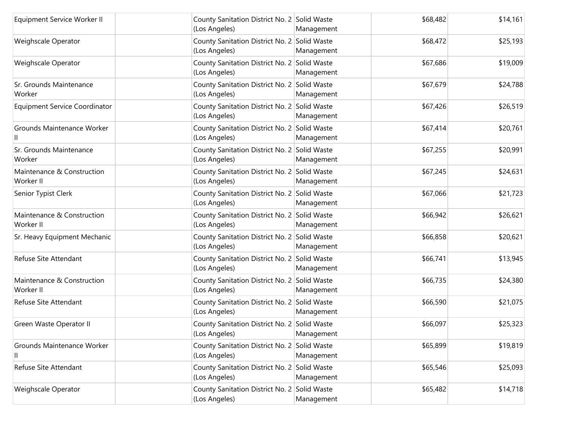| Equipment Service Worker II             | County Sanitation District No. 2 Solid Waste<br>(Los Angeles) | Management | \$68,482 | \$14,161 |
|-----------------------------------------|---------------------------------------------------------------|------------|----------|----------|
| Weighscale Operator                     | County Sanitation District No. 2 Solid Waste<br>(Los Angeles) | Management | \$68,472 | \$25,193 |
| Weighscale Operator                     | County Sanitation District No. 2 Solid Waste<br>(Los Angeles) | Management | \$67,686 | \$19,009 |
| Sr. Grounds Maintenance<br>Worker       | County Sanitation District No. 2 Solid Waste<br>(Los Angeles) | Management | \$67,679 | \$24,788 |
| <b>Equipment Service Coordinator</b>    | County Sanitation District No. 2 Solid Waste<br>(Los Angeles) | Management | \$67,426 | \$26,519 |
| Grounds Maintenance Worker              | County Sanitation District No. 2 Solid Waste<br>(Los Angeles) | Management | \$67,414 | \$20,761 |
| Sr. Grounds Maintenance<br>Worker       | County Sanitation District No. 2 Solid Waste<br>(Los Angeles) | Management | \$67,255 | \$20,991 |
| Maintenance & Construction<br>Worker II | County Sanitation District No. 2 Solid Waste<br>(Los Angeles) | Management | \$67,245 | \$24,631 |
| Senior Typist Clerk                     | County Sanitation District No. 2 Solid Waste<br>(Los Angeles) | Management | \$67,066 | \$21,723 |
| Maintenance & Construction<br>Worker II | County Sanitation District No. 2 Solid Waste<br>(Los Angeles) | Management | \$66,942 | \$26,621 |
| Sr. Heavy Equipment Mechanic            | County Sanitation District No. 2 Solid Waste<br>(Los Angeles) | Management | \$66,858 | \$20,621 |
| Refuse Site Attendant                   | County Sanitation District No. 2 Solid Waste<br>(Los Angeles) | Management | \$66,741 | \$13,945 |
| Maintenance & Construction<br>Worker II | County Sanitation District No. 2 Solid Waste<br>(Los Angeles) | Management | \$66,735 | \$24,380 |
| Refuse Site Attendant                   | County Sanitation District No. 2 Solid Waste<br>(Los Angeles) | Management | \$66,590 | \$21,075 |
| Green Waste Operator II                 | County Sanitation District No. 2 Solid Waste<br>(Los Angeles) | Management | \$66,097 | \$25,323 |
| Grounds Maintenance Worker<br>Ш         | County Sanitation District No. 2 Solid Waste<br>(Los Angeles) | Management | \$65,899 | \$19,819 |
| Refuse Site Attendant                   | County Sanitation District No. 2 Solid Waste<br>(Los Angeles) | Management | \$65,546 | \$25,093 |
| Weighscale Operator                     | County Sanitation District No. 2 Solid Waste<br>(Los Angeles) | Management | \$65,482 | \$14,718 |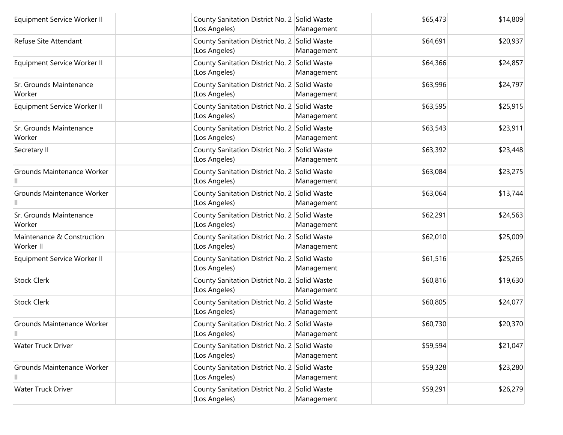| Equipment Service Worker II             | County Sanitation District No. 2 Solid Waste<br>(Los Angeles) | Management | \$65,473 | \$14,809 |
|-----------------------------------------|---------------------------------------------------------------|------------|----------|----------|
| Refuse Site Attendant                   | County Sanitation District No. 2 Solid Waste<br>(Los Angeles) | Management | \$64,691 | \$20,937 |
| Equipment Service Worker II             | County Sanitation District No. 2 Solid Waste<br>(Los Angeles) | Management | \$64,366 | \$24,857 |
| Sr. Grounds Maintenance<br>Worker       | County Sanitation District No. 2 Solid Waste<br>(Los Angeles) | Management | \$63,996 | \$24,797 |
| Equipment Service Worker II             | County Sanitation District No. 2 Solid Waste<br>(Los Angeles) | Management | \$63,595 | \$25,915 |
| Sr. Grounds Maintenance<br>Worker       | County Sanitation District No. 2 Solid Waste<br>(Los Angeles) | Management | \$63,543 | \$23,911 |
| Secretary II                            | County Sanitation District No. 2 Solid Waste<br>(Los Angeles) | Management | \$63,392 | \$23,448 |
| Grounds Maintenance Worker              | County Sanitation District No. 2 Solid Waste<br>(Los Angeles) | Management | \$63,084 | \$23,275 |
| Grounds Maintenance Worker              | County Sanitation District No. 2 Solid Waste<br>(Los Angeles) | Management | \$63,064 | \$13,744 |
| Sr. Grounds Maintenance<br>Worker       | County Sanitation District No. 2 Solid Waste<br>(Los Angeles) | Management | \$62,291 | \$24,563 |
| Maintenance & Construction<br>Worker II | County Sanitation District No. 2 Solid Waste<br>(Los Angeles) | Management | \$62,010 | \$25,009 |
| Equipment Service Worker II             | County Sanitation District No. 2 Solid Waste<br>(Los Angeles) | Management | \$61,516 | \$25,265 |
| <b>Stock Clerk</b>                      | County Sanitation District No. 2 Solid Waste<br>(Los Angeles) | Management | \$60,816 | \$19,630 |
| <b>Stock Clerk</b>                      | County Sanitation District No. 2 Solid Waste<br>(Los Angeles) | Management | \$60,805 | \$24,077 |
| Grounds Maintenance Worker<br>Ш         | County Sanitation District No. 2 Solid Waste<br>(Los Angeles) | Management | \$60,730 | \$20,370 |
| <b>Water Truck Driver</b>               | County Sanitation District No. 2 Solid Waste<br>(Los Angeles) | Management | \$59,594 | \$21,047 |
| Grounds Maintenance Worker<br>Ш         | County Sanitation District No. 2 Solid Waste<br>(Los Angeles) | Management | \$59,328 | \$23,280 |
| <b>Water Truck Driver</b>               | County Sanitation District No. 2 Solid Waste<br>(Los Angeles) | Management | \$59,291 | \$26,279 |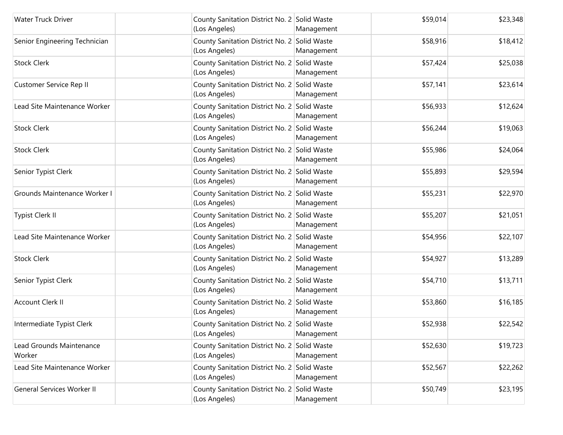| Water Truck Driver                 | County Sanitation District No. 2 Solid Waste<br>(Los Angeles) | Management | \$59,014 | \$23,348 |
|------------------------------------|---------------------------------------------------------------|------------|----------|----------|
| Senior Engineering Technician      | County Sanitation District No. 2 Solid Waste<br>(Los Angeles) | Management | \$58,916 | \$18,412 |
| <b>Stock Clerk</b>                 | County Sanitation District No. 2 Solid Waste<br>(Los Angeles) | Management | \$57,424 | \$25,038 |
| Customer Service Rep II            | County Sanitation District No. 2 Solid Waste<br>(Los Angeles) | Management | \$57,141 | \$23,614 |
| Lead Site Maintenance Worker       | County Sanitation District No. 2 Solid Waste<br>(Los Angeles) | Management | \$56,933 | \$12,624 |
| <b>Stock Clerk</b>                 | County Sanitation District No. 2 Solid Waste<br>(Los Angeles) | Management | \$56,244 | \$19,063 |
| <b>Stock Clerk</b>                 | County Sanitation District No. 2 Solid Waste<br>(Los Angeles) | Management | \$55,986 | \$24,064 |
| Senior Typist Clerk                | County Sanitation District No. 2 Solid Waste<br>(Los Angeles) | Management | \$55,893 | \$29,594 |
| Grounds Maintenance Worker I       | County Sanitation District No. 2 Solid Waste<br>(Los Angeles) | Management | \$55,231 | \$22,970 |
| <b>Typist Clerk II</b>             | County Sanitation District No. 2 Solid Waste<br>(Los Angeles) | Management | \$55,207 | \$21,051 |
| Lead Site Maintenance Worker       | County Sanitation District No. 2 Solid Waste<br>(Los Angeles) | Management | \$54,956 | \$22,107 |
| <b>Stock Clerk</b>                 | County Sanitation District No. 2 Solid Waste<br>(Los Angeles) | Management | \$54,927 | \$13,289 |
| Senior Typist Clerk                | County Sanitation District No. 2 Solid Waste<br>(Los Angeles) | Management | \$54,710 | \$13,711 |
| <b>Account Clerk II</b>            | County Sanitation District No. 2 Solid Waste<br>(Los Angeles) | Management | \$53,860 | \$16,185 |
| Intermediate Typist Clerk          | County Sanitation District No. 2 Solid Waste<br>(Los Angeles) | Management | \$52,938 | \$22,542 |
| Lead Grounds Maintenance<br>Worker | County Sanitation District No. 2 Solid Waste<br>(Los Angeles) | Management | \$52,630 | \$19,723 |
| Lead Site Maintenance Worker       | County Sanitation District No. 2 Solid Waste<br>(Los Angeles) | Management | \$52,567 | \$22,262 |
| General Services Worker II         | County Sanitation District No. 2 Solid Waste<br>(Los Angeles) | Management | \$50,749 | \$23,195 |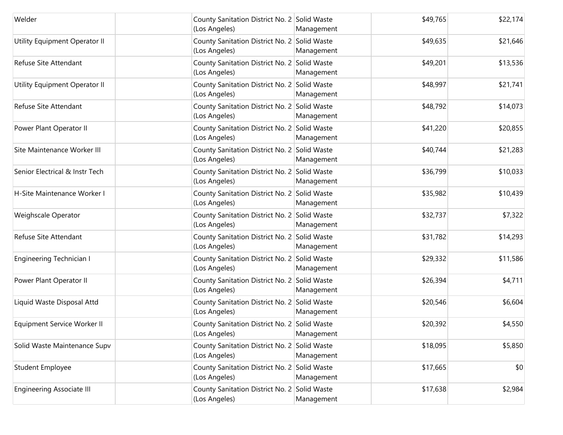| Welder                           | County Sanitation District No. 2 Solid Waste<br>(Los Angeles) | Management | \$49,765 | \$22,174 |
|----------------------------------|---------------------------------------------------------------|------------|----------|----------|
| Utility Equipment Operator II    | County Sanitation District No. 2 Solid Waste<br>(Los Angeles) | Management | \$49,635 | \$21,646 |
| Refuse Site Attendant            | County Sanitation District No. 2 Solid Waste<br>(Los Angeles) | Management | \$49,201 | \$13,536 |
| Utility Equipment Operator II    | County Sanitation District No. 2 Solid Waste<br>(Los Angeles) | Management | \$48,997 | \$21,741 |
| Refuse Site Attendant            | County Sanitation District No. 2 Solid Waste<br>(Los Angeles) | Management | \$48,792 | \$14,073 |
| Power Plant Operator II          | County Sanitation District No. 2 Solid Waste<br>(Los Angeles) | Management | \$41,220 | \$20,855 |
| Site Maintenance Worker III      | County Sanitation District No. 2 Solid Waste<br>(Los Angeles) | Management | \$40,744 | \$21,283 |
| Senior Electrical & Instr Tech   | County Sanitation District No. 2 Solid Waste<br>(Los Angeles) | Management | \$36,799 | \$10,033 |
| H-Site Maintenance Worker I      | County Sanitation District No. 2 Solid Waste<br>(Los Angeles) | Management | \$35,982 | \$10,439 |
| Weighscale Operator              | County Sanitation District No. 2 Solid Waste<br>(Los Angeles) | Management | \$32,737 | \$7,322  |
| Refuse Site Attendant            | County Sanitation District No. 2 Solid Waste<br>(Los Angeles) | Management | \$31,782 | \$14,293 |
| <b>Engineering Technician I</b>  | County Sanitation District No. 2 Solid Waste<br>(Los Angeles) | Management | \$29,332 | \$11,586 |
| Power Plant Operator II          | County Sanitation District No. 2 Solid Waste<br>(Los Angeles) | Management | \$26,394 | \$4,711  |
| Liquid Waste Disposal Attd       | County Sanitation District No. 2 Solid Waste<br>(Los Angeles) | Management | \$20,546 | \$6,604  |
| Equipment Service Worker II      | County Sanitation District No. 2 Solid Waste<br>(Los Angeles) | Management | \$20,392 | \$4,550  |
| Solid Waste Maintenance Supv     | County Sanitation District No. 2 Solid Waste<br>(Los Angeles) | Management | \$18,095 | \$5,850  |
| Student Employee                 | County Sanitation District No. 2 Solid Waste<br>(Los Angeles) | Management | \$17,665 | \$0      |
| <b>Engineering Associate III</b> | County Sanitation District No. 2 Solid Waste<br>(Los Angeles) | Management | \$17,638 | \$2,984  |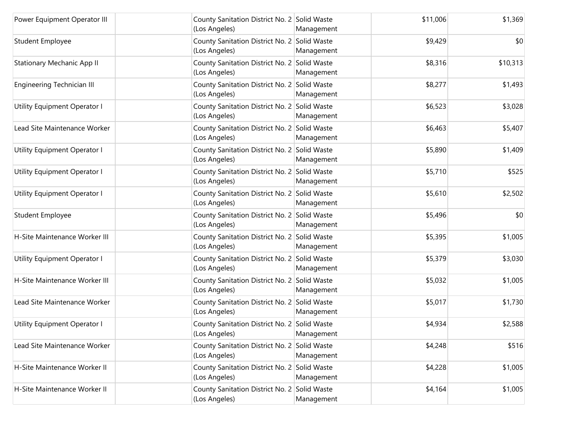| Power Equipment Operator III      | County Sanitation District No. 2 Solid Waste<br>(Los Angeles) | Management | \$11,006 | \$1,369  |
|-----------------------------------|---------------------------------------------------------------|------------|----------|----------|
| <b>Student Employee</b>           | County Sanitation District No. 2 Solid Waste<br>(Los Angeles) | Management | \$9,429  | \$0      |
| <b>Stationary Mechanic App II</b> | County Sanitation District No. 2 Solid Waste<br>(Los Angeles) | Management | \$8,316  | \$10,313 |
| Engineering Technician III        | County Sanitation District No. 2 Solid Waste<br>(Los Angeles) | Management | \$8,277  | \$1,493  |
| Utility Equipment Operator I      | County Sanitation District No. 2 Solid Waste<br>(Los Angeles) | Management | \$6,523  | \$3,028  |
| Lead Site Maintenance Worker      | County Sanitation District No. 2 Solid Waste<br>(Los Angeles) | Management | \$6,463  | \$5,407  |
| Utility Equipment Operator I      | County Sanitation District No. 2 Solid Waste<br>(Los Angeles) | Management | \$5,890  | \$1,409  |
| Utility Equipment Operator I      | County Sanitation District No. 2 Solid Waste<br>(Los Angeles) | Management | \$5,710  | \$525    |
| Utility Equipment Operator I      | County Sanitation District No. 2 Solid Waste<br>(Los Angeles) | Management | \$5,610  | \$2,502  |
| <b>Student Employee</b>           | County Sanitation District No. 2 Solid Waste<br>(Los Angeles) | Management | \$5,496  | \$0      |
| H-Site Maintenance Worker III     | County Sanitation District No. 2 Solid Waste<br>(Los Angeles) | Management | \$5,395  | \$1,005  |
| Utility Equipment Operator I      | County Sanitation District No. 2 Solid Waste<br>(Los Angeles) | Management | \$5,379  | \$3,030  |
| H-Site Maintenance Worker III     | County Sanitation District No. 2 Solid Waste<br>(Los Angeles) | Management | \$5,032  | \$1,005  |
| Lead Site Maintenance Worker      | County Sanitation District No. 2 Solid Waste<br>(Los Angeles) | Management | \$5,017  | \$1,730  |
| Utility Equipment Operator I      | County Sanitation District No. 2 Solid Waste<br>(Los Angeles) | Management | \$4,934  | \$2,588  |
| Lead Site Maintenance Worker      | County Sanitation District No. 2 Solid Waste<br>(Los Angeles) | Management | \$4,248  | \$516    |
| H-Site Maintenance Worker II      | County Sanitation District No. 2 Solid Waste<br>(Los Angeles) | Management | \$4,228  | \$1,005  |
| H-Site Maintenance Worker II      | County Sanitation District No. 2 Solid Waste<br>(Los Angeles) | Management | \$4,164  | \$1,005  |